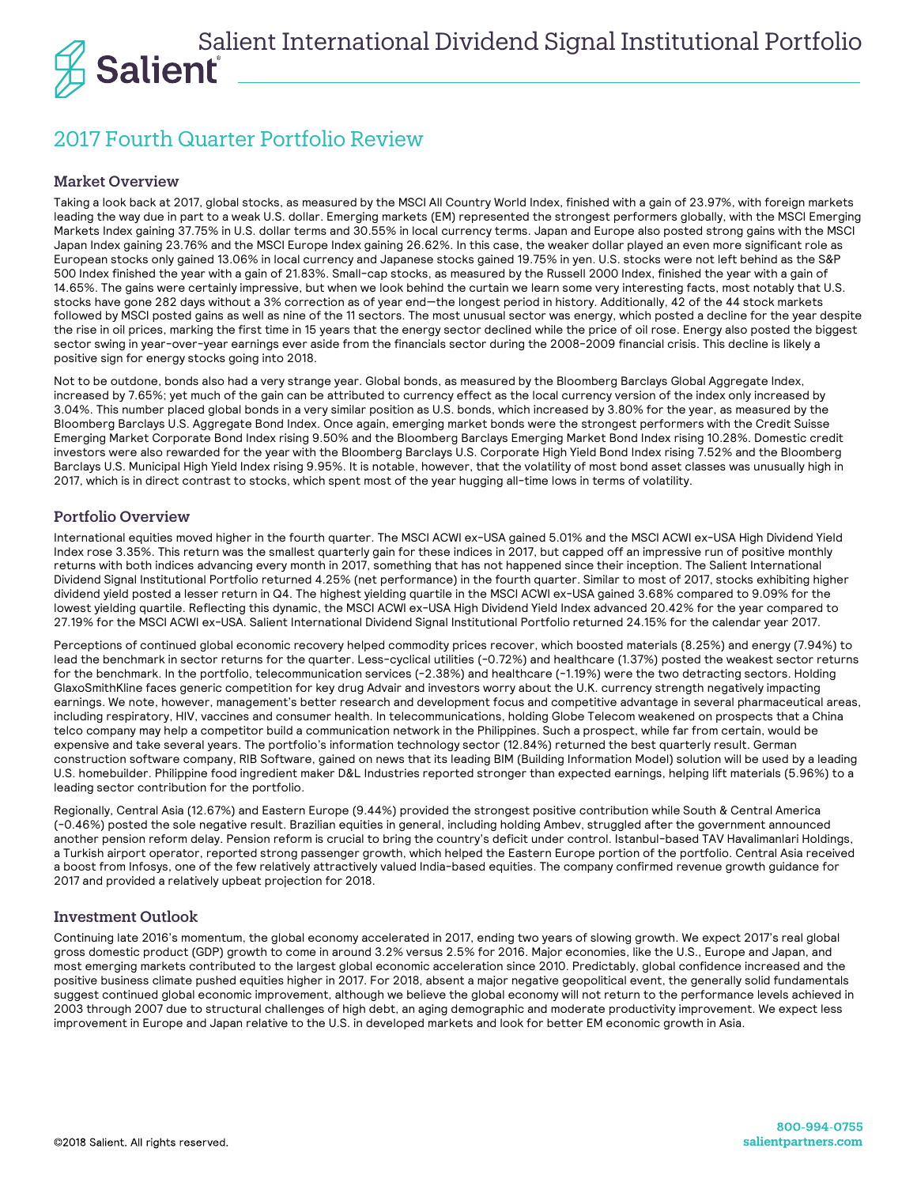

# 2017 Fourth Quarter Portfolio Review

## Market Overview

Taking a look back at 2017, global stocks, as measured by the MSCI All Country World Index, finished with a gain of 23.97%, with foreign markets leading the way due in part to a weak U.S. dollar. Emerging markets (EM) represented the strongest performers globally, with the MSCI Emerging Markets Index gaining 37.75% in U.S. dollar terms and 30.55% in local currency terms. Japan and Europe also posted strong gains with the MSCI Japan Index gaining 23.76% and the MSCI Europe Index gaining 26.62%. In this case, the weaker dollar played an even more significant role as European stocks only gained 13.06% in local currency and Japanese stocks gained 19.75% in yen. U.S. stocks were not left behind as the S&P 500 Index finished the year with a gain of 21.83%. Small-cap stocks, as measured by the Russell 2000 Index, finished the year with a gain of 14.65%. The gains were certainly impressive, but when we look behind the curtain we learn some very interesting facts, most notably that U.S. stocks have gone 282 days without a 3% correction as of year end—the longest period in history. Additionally, 42 of the 44 stock markets followed by MSCI posted gains as well as nine of the 11 sectors. The most unusual sector was energy, which posted a decline for the year despite the rise in oil prices, marking the first time in 15 years that the energy sector declined while the price of oil rose. Energy also posted the biggest sector swing in year-over-year earnings ever aside from the financials sector during the 2008-2009 financial crisis. This decline is likely a positive sign for energy stocks going into 2018.

Not to be outdone, bonds also had a very strange year. Global bonds, as measured by the Bloomberg Barclays Global Aggregate Index, increased by 7.65%; yet much of the gain can be attributed to currency effect as the local currency version of the index only increased by 3.04%. This number placed global bonds in a very similar position as U.S. bonds, which increased by 3.80% for the year, as measured by the Bloomberg Barclays U.S. Aggregate Bond Index. Once again, emerging market bonds were the strongest performers with the Credit Suisse Emerging Market Corporate Bond Index rising 9.50% and the Bloomberg Barclays Emerging Market Bond Index rising 10.28%. Domestic credit investors were also rewarded for the year with the Bloomberg Barclays U.S. Corporate High Yield Bond Index rising 7.52% and the Bloomberg Barclays U.S. Municipal High Yield Index rising 9.95%. It is notable, however, that the volatility of most bond asset classes was unusually high in 2017, which is in direct contrast to stocks, which spent most of the year hugging all-time lows in terms of volatility.

### Portfolio Overview

International equities moved higher in the fourth quarter. The MSCI ACWI ex-USA gained 5.01% and the MSCI ACWI ex-USA High Dividend Yield Index rose 3.35%. This return was the smallest quarterly gain for these indices in 2017, but capped off an impressive run of positive monthly returns with both indices advancing every month in 2017, something that has not happened since their inception. The Salient International Dividend Signal Institutional Portfolio returned 4.25% (net performance) in the fourth quarter. Similar to most of 2017, stocks exhibiting higher dividend yield posted a lesser return in Q4. The highest yielding quartile in the MSCI ACWI ex-USA gained 3.68% compared to 9.09% for the lowest yielding quartile. Reflecting this dynamic, the MSCI ACWI ex-USA High Dividend Yield Index advanced 20.42% for the year compared to 27.19% for the MSCI ACWI ex-USA. Salient International Dividend Signal Institutional Portfolio returned 24.15% for the calendar year 2017.

Perceptions of continued global economic recovery helped commodity prices recover, which boosted materials (8.25%) and energy (7.94%) to lead the benchmark in sector returns for the quarter. Less-cyclical utilities (-0.72%) and healthcare (1.37%) posted the weakest sector returns for the benchmark. In the portfolio, telecommunication services (-2.38%) and healthcare (-1.19%) were the two detracting sectors. Holding GlaxoSmithKline faces generic competition for key drug Advair and investors worry about the U.K. currency strength negatively impacting earnings. We note, however, management's better research and development focus and competitive advantage in several pharmaceutical areas, including respiratory, HIV, vaccines and consumer health. In telecommunications, holding Globe Telecom weakened on prospects that a China telco company may help a competitor build a communication network in the Philippines. Such a prospect, while far from certain, would be expensive and take several years. The portfolio's information technology sector (12.84%) returned the best quarterly result. German construction software company, RIB Software, gained on news that its leading BIM (Building Information Model) solution will be used by a leading U.S. homebuilder. Philippine food ingredient maker D&L Industries reported stronger than expected earnings, helping lift materials (5.96%) to a leading sector contribution for the portfolio.

Regionally, Central Asia (12.67%) and Eastern Europe (9.44%) provided the strongest positive contribution while South & Central America (-0.46%) posted the sole negative result. Brazilian equities in general, including holding Ambev, struggled after the government announced another pension reform delay. Pension reform is crucial to bring the country's deficit under control. Istanbul-based TAV Havalimanlari Holdings, a Turkish airport operator, reported strong passenger growth, which helped the Eastern Europe portion of the portfolio. Central Asia received a boost from Infosys, one of the few relatively attractively valued India-based equities. The company confirmed revenue growth guidance for 2017 and provided a relatively upbeat projection for 2018.

# Investment Outlook

Continuing late 2016's momentum, the global economy accelerated in 2017, ending two years of slowing growth. We expect 2017's real global gross domestic product (GDP) growth to come in around 3.2% versus 2.5% for 2016. Major economies, like the U.S., Europe and Japan, and most emerging markets contributed to the largest global economic acceleration since 2010. Predictably, global confidence increased and the positive business climate pushed equities higher in 2017. For 2018, absent a major negative geopolitical event, the generally solid fundamentals suggest continued global economic improvement, although we believe the global economy will not return to the performance levels achieved in 2003 through 2007 due to structural challenges of high debt, an aging demographic and moderate productivity improvement. We expect less improvement in Europe and Japan relative to the U.S. in developed markets and look for better EM economic growth in Asia.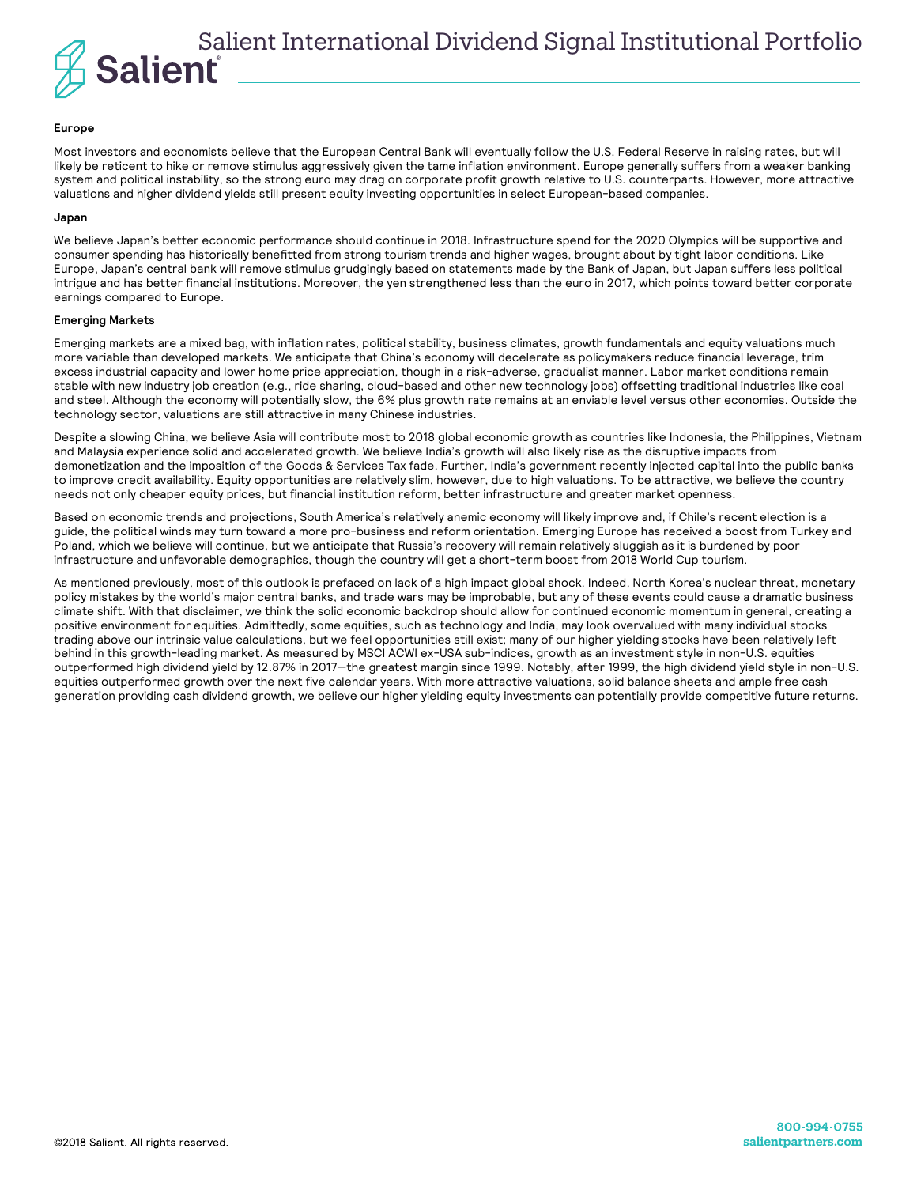

#### **Europe**

Most investors and economists believe that the European Central Bank will eventually follow the U.S. Federal Reserve in raising rates, but will likely be reticent to hike or remove stimulus aggressively given the tame inflation environment. Europe generally suffers from a weaker banking system and political instability, so the strong euro may drag on corporate profit growth relative to U.S. counterparts. However, more attractive valuations and higher dividend yields still present equity investing opportunities in select European-based companies.

#### **Japan**

We believe Japan's better economic performance should continue in 2018. Infrastructure spend for the 2020 Olympics will be supportive and consumer spending has historically benefitted from strong tourism trends and higher wages, brought about by tight labor conditions. Like Europe, Japan's central bank will remove stimulus grudgingly based on statements made by the Bank of Japan, but Japan suffers less political intrigue and has better financial institutions. Moreover, the yen strengthened less than the euro in 2017, which points toward better corporate earnings compared to Europe.

#### **Emerging Markets**

Emerging markets are a mixed bag, with inflation rates, political stability, business climates, growth fundamentals and equity valuations much more variable than developed markets. We anticipate that China's economy will decelerate as policymakers reduce financial leverage, trim excess industrial capacity and lower home price appreciation, though in a risk-adverse, gradualist manner. Labor market conditions remain stable with new industry job creation (e.g., ride sharing, cloud-based and other new technology jobs) offsetting traditional industries like coal and steel. Although the economy will potentially slow, the 6% plus growth rate remains at an enviable level versus other economies. Outside the technology sector, valuations are still attractive in many Chinese industries.

Despite a slowing China, we believe Asia will contribute most to 2018 global economic growth as countries like Indonesia, the Philippines, Vietnam and Malaysia experience solid and accelerated growth. We believe India's growth will also likely rise as the disruptive impacts from demonetization and the imposition of the Goods & Services Tax fade. Further, India's government recently injected capital into the public banks to improve credit availability. Equity opportunities are relatively slim, however, due to high valuations. To be attractive, we believe the country needs not only cheaper equity prices, but financial institution reform, better infrastructure and greater market openness.

Based on economic trends and projections, South America's relatively anemic economy will likely improve and, if Chile's recent election is a guide, the political winds may turn toward a more pro-business and reform orientation. Emerging Europe has received a boost from Turkey and Poland, which we believe will continue, but we anticipate that Russia's recovery will remain relatively sluggish as it is burdened by poor infrastructure and unfavorable demographics, though the country will get a short-term boost from 2018 World Cup tourism.

As mentioned previously, most of this outlook is prefaced on lack of a high impact global shock. Indeed, North Korea's nuclear threat, monetary policy mistakes by the world's major central banks, and trade wars may be improbable, but any of these events could cause a dramatic business climate shift. With that disclaimer, we think the solid economic backdrop should allow for continued economic momentum in general, creating a positive environment for equities. Admittedly, some equities, such as technology and India, may look overvalued with many individual stocks trading above our intrinsic value calculations, but we feel opportunities still exist; many of our higher yielding stocks have been relatively left behind in this growth-leading market. As measured by MSCI ACWI ex-USA sub-indices, growth as an investment style in non-U.S. equities outperformed high dividend yield by 12.87% in 2017—the greatest margin since 1999. Notably, after 1999, the high dividend yield style in non-U.S. equities outperformed growth over the next five calendar years. With more attractive valuations, solid balance sheets and ample free cash generation providing cash dividend growth, we believe our higher yielding equity investments can potentially provide competitive future returns.